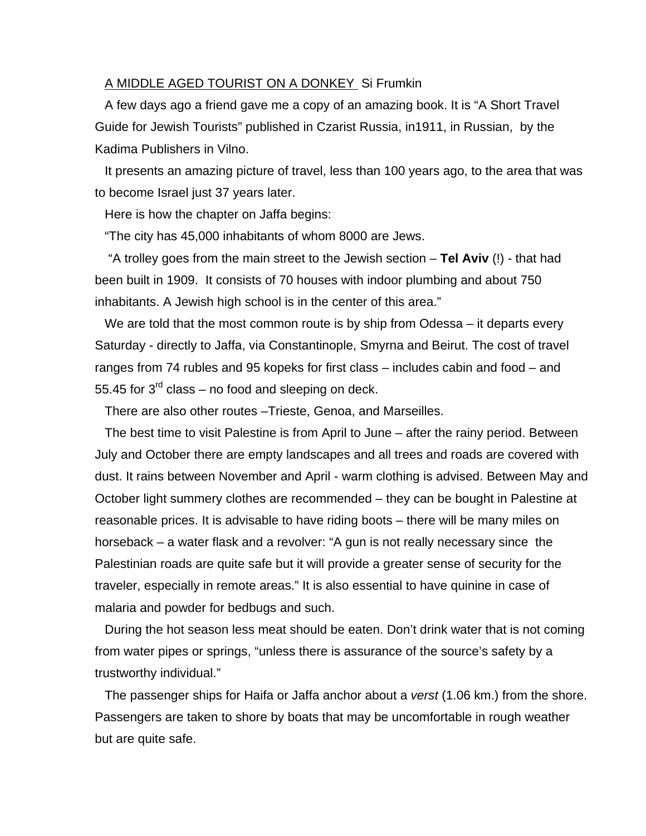## A MIDDLE AGED TOURIST ON A DONKEY Si Frumkin

A few days ago a friend gave me a copy of an amazing book. It is "A Short Travel Guide for Jewish Tourists" published in Czarist Russia, in1911, in Russian, by the Kadima Publishers in Vilno.

It presents an amazing picture of travel, less than 100 years ago, to the area that was to become Israel just 37 years later.

Here is how the chapter on Jaffa begins:

"The city has 45,000 inhabitants of whom 8000 are Jews.

 "A trolley goes from the main street to the Jewish section – **Tel Aviv** (!) - that had been built in 1909. It consists of 70 houses with indoor plumbing and about 750 inhabitants. A Jewish high school is in the center of this area."

We are told that the most common route is by ship from Odessa – it departs every Saturday - directly to Jaffa, via Constantinople, Smyrna and Beirut. The cost of travel ranges from 74 rubles and 95 kopeks for first class – includes cabin and food – and 55.45 for  $3^{rd}$  class – no food and sleeping on deck.

There are also other routes –Trieste, Genoa, and Marseilles.

The best time to visit Palestine is from April to June – after the rainy period. Between July and October there are empty landscapes and all trees and roads are covered with dust. It rains between November and April - warm clothing is advised. Between May and October light summery clothes are recommended – they can be bought in Palestine at reasonable prices. It is advisable to have riding boots – there will be many miles on horseback – a water flask and a revolver: "A gun is not really necessary since the Palestinian roads are quite safe but it will provide a greater sense of security for the traveler, especially in remote areas." It is also essential to have quinine in case of malaria and powder for bedbugs and such.

During the hot season less meat should be eaten. Don't drink water that is not coming from water pipes or springs, "unless there is assurance of the source's safety by a trustworthy individual."

The passenger ships for Haifa or Jaffa anchor about a *verst* (1.06 km.) from the shore. Passengers are taken to shore by boats that may be uncomfortable in rough weather but are quite safe.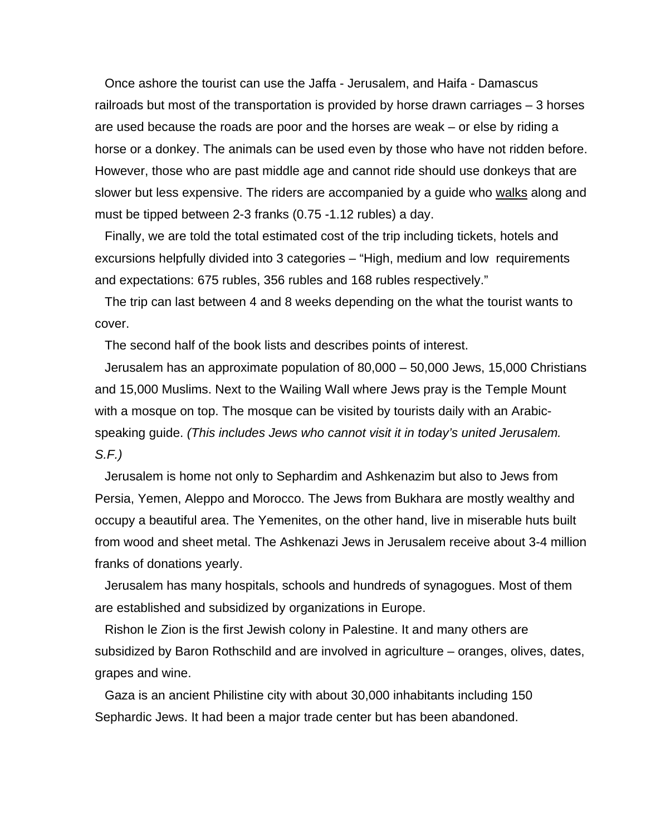Once ashore the tourist can use the Jaffa - Jerusalem, and Haifa - Damascus railroads but most of the transportation is provided by horse drawn carriages – 3 horses are used because the roads are poor and the horses are weak – or else by riding a horse or a donkey. The animals can be used even by those who have not ridden before. However, those who are past middle age and cannot ride should use donkeys that are slower but less expensive. The riders are accompanied by a guide who walks along and must be tipped between 2-3 franks (0.75 -1.12 rubles) a day.

Finally, we are told the total estimated cost of the trip including tickets, hotels and excursions helpfully divided into 3 categories – "High, medium and low requirements and expectations: 675 rubles, 356 rubles and 168 rubles respectively."

The trip can last between 4 and 8 weeks depending on the what the tourist wants to cover.

The second half of the book lists and describes points of interest.

Jerusalem has an approximate population of 80,000 – 50,000 Jews, 15,000 Christians and 15,000 Muslims. Next to the Wailing Wall where Jews pray is the Temple Mount with a mosque on top. The mosque can be visited by tourists daily with an Arabicspeaking guide. *(This includes Jews who cannot visit it in today's united Jerusalem. S.F.)* 

Jerusalem is home not only to Sephardim and Ashkenazim but also to Jews from Persia, Yemen, Aleppo and Morocco. The Jews from Bukhara are mostly wealthy and occupy a beautiful area. The Yemenites, on the other hand, live in miserable huts built from wood and sheet metal. The Ashkenazi Jews in Jerusalem receive about 3-4 million franks of donations yearly.

Jerusalem has many hospitals, schools and hundreds of synagogues. Most of them are established and subsidized by organizations in Europe.

Rishon le Zion is the first Jewish colony in Palestine. It and many others are subsidized by Baron Rothschild and are involved in agriculture – oranges, olives, dates, grapes and wine.

Gaza is an ancient Philistine city with about 30,000 inhabitants including 150 Sephardic Jews. It had been a major trade center but has been abandoned.